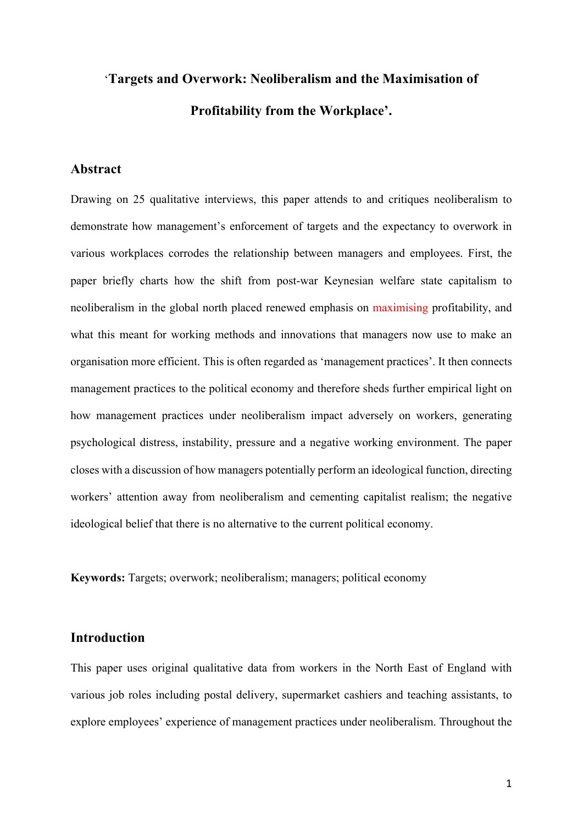# '**Targets and Overwork: Neoliberalism and the Maximisation of Profitability from the Workplace'.**

# **Abstract**

Drawing on 25 qualitative interviews, this paper attends to and critiques neoliberalism to demonstrate how management's enforcement of targets and the expectancy to overwork in various workplaces corrodes the relationship between managers and employees. First, the paper briefly charts how the shift from post-war Keynesian welfare state capitalism to neoliberalism in the global north placed renewed emphasis on maximising profitability, and what this meant for working methods and innovations that managers now use to make an organisation more efficient. This is often regarded as 'management practices'. It then connects management practices to the political economy and therefore sheds further empirical light on how management practices under neoliberalism impact adversely on workers, generating psychological distress, instability, pressure and a negative working environment. The paper closes with a discussion of how managers potentially perform an ideological function, directing workers' attention away from neoliberalism and cementing capitalist realism; the negative ideological belief that there is no alternative to the current political economy.

**Keywords:** Targets; overwork; neoliberalism; managers; political economy

## **Introduction**

This paper uses original qualitative data from workers in the North East of England with various job roles including postal delivery, supermarket cashiers and teaching assistants, to explore employees' experience of management practices under neoliberalism. Throughout the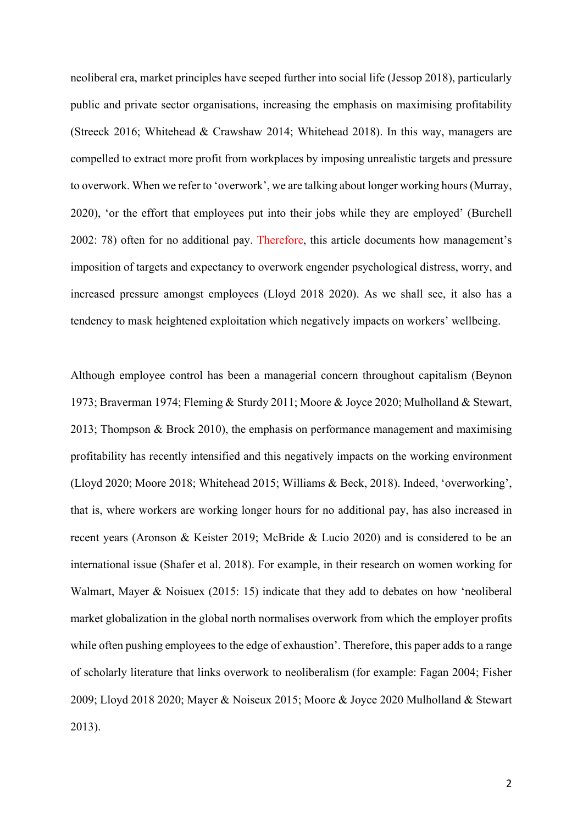neoliberal era, market principles have seeped further into social life (Jessop 2018), particularly public and private sector organisations, increasing the emphasis on maximising profitability (Streeck 2016; Whitehead & Crawshaw 2014; Whitehead 2018). In this way, managers are compelled to extract more profit from workplaces by imposing unrealistic targets and pressure to overwork. When we refer to 'overwork', we are talking about longer working hours (Murray, 2020), 'or the effort that employees put into their jobs while they are employed' (Burchell 2002: 78) often for no additional pay. Therefore, this article documents how management's imposition of targets and expectancy to overwork engender psychological distress, worry, and increased pressure amongst employees (Lloyd 2018 2020). As we shall see, it also has a tendency to mask heightened exploitation which negatively impacts on workers' wellbeing.

Although employee control has been a managerial concern throughout capitalism (Beynon 1973; Braverman 1974; Fleming & Sturdy 2011; Moore & Joyce 2020; Mulholland & Stewart, 2013; Thompson & Brock 2010), the emphasis on performance management and maximising profitability has recently intensified and this negatively impacts on the working environment (Lloyd 2020; Moore 2018; Whitehead 2015; Williams & Beck, 2018). Indeed, 'overworking', that is, where workers are working longer hours for no additional pay, has also increased in recent years (Aronson & Keister 2019; McBride & Lucio 2020) and is considered to be an international issue (Shafer et al. 2018). For example, in their research on women working for Walmart, Mayer & Noisuex (2015: 15) indicate that they add to debates on how 'neoliberal market globalization in the global north normalises overwork from which the employer profits while often pushing employees to the edge of exhaustion'. Therefore, this paper adds to a range of scholarly literature that links overwork to neoliberalism (for example: Fagan 2004; Fisher 2009; Lloyd 2018 2020; Mayer & Noiseux 2015; Moore & Joyce 2020 Mulholland & Stewart 2013).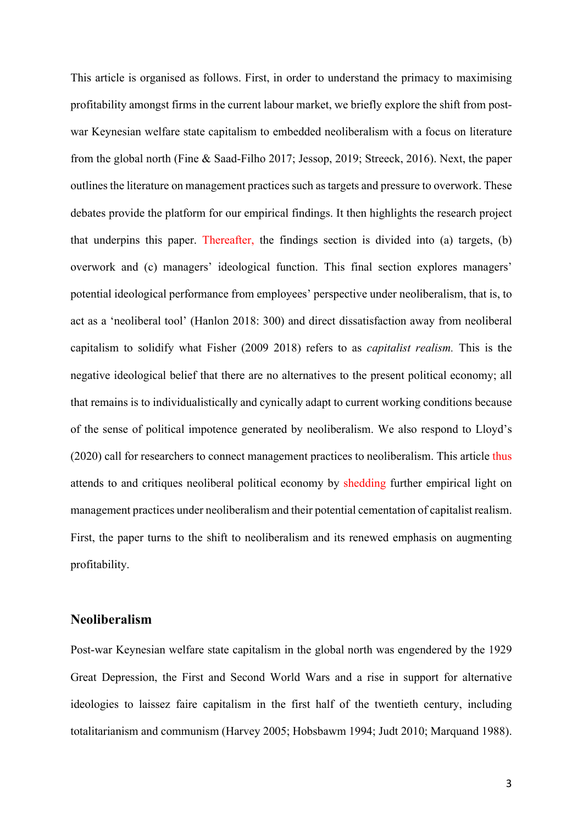This article is organised as follows. First, in order to understand the primacy to maximising profitability amongst firms in the current labour market, we briefly explore the shift from postwar Keynesian welfare state capitalism to embedded neoliberalism with a focus on literature from the global north (Fine & Saad-Filho 2017; Jessop, 2019; Streeck, 2016). Next, the paper outlines the literature on management practices such as targets and pressure to overwork. These debates provide the platform for our empirical findings. It then highlights the research project that underpins this paper. Thereafter, the findings section is divided into (a) targets, (b) overwork and (c) managers' ideological function. This final section explores managers' potential ideological performance from employees' perspective under neoliberalism, that is, to act as a 'neoliberal tool' (Hanlon 2018: 300) and direct dissatisfaction away from neoliberal capitalism to solidify what Fisher (2009 2018) refers to as *capitalist realism.* This is the negative ideological belief that there are no alternatives to the present political economy; all that remains is to individualistically and cynically adapt to current working conditions because of the sense of political impotence generated by neoliberalism. We also respond to Lloyd's (2020) call for researchers to connect management practices to neoliberalism. This article thus attends to and critiques neoliberal political economy by shedding further empirical light on management practices under neoliberalism and their potential cementation of capitalist realism. First, the paper turns to the shift to neoliberalism and its renewed emphasis on augmenting profitability.

# **Neoliberalism**

Post-war Keynesian welfare state capitalism in the global north was engendered by the 1929 Great Depression, the First and Second World Wars and a rise in support for alternative ideologies to laissez faire capitalism in the first half of the twentieth century, including totalitarianism and communism (Harvey 2005; Hobsbawm 1994; Judt 2010; Marquand 1988).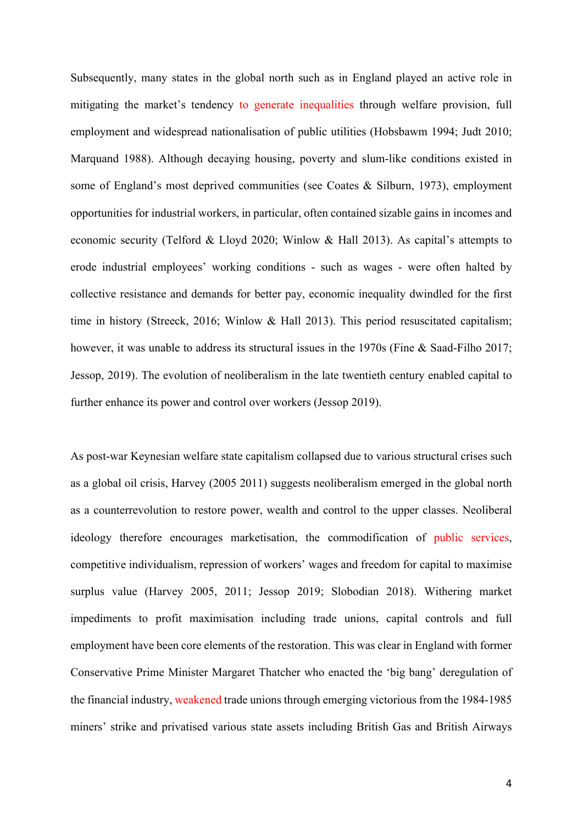Subsequently, many states in the global north such as in England played an active role in mitigating the market's tendency to generate inequalities through welfare provision, full employment and widespread nationalisation of public utilities (Hobsbawm 1994; Judt 2010; Marquand 1988). Although decaying housing, poverty and slum-like conditions existed in some of England's most deprived communities (see Coates & Silburn, 1973), employment opportunities for industrial workers, in particular, often contained sizable gains in incomes and economic security (Telford & Lloyd 2020; Winlow & Hall 2013). As capital's attempts to erode industrial employees' working conditions - such as wages - were often halted by collective resistance and demands for better pay, economic inequality dwindled for the first time in history (Streeck, 2016; Winlow & Hall 2013). This period resuscitated capitalism; however, it was unable to address its structural issues in the 1970s (Fine & Saad-Filho 2017; Jessop, 2019). The evolution of neoliberalism in the late twentieth century enabled capital to further enhance its power and control over workers (Jessop 2019).

As post-war Keynesian welfare state capitalism collapsed due to various structural crises such as a global oil crisis, Harvey (2005 2011) suggests neoliberalism emerged in the global north as a counterrevolution to restore power, wealth and control to the upper classes. Neoliberal ideology therefore encourages marketisation, the commodification of public services, competitive individualism, repression of workers' wages and freedom for capital to maximise surplus value (Harvey 2005, 2011; Jessop 2019; Slobodian 2018). Withering market impediments to profit maximisation including trade unions, capital controls and full employment have been core elements of the restoration. This was clear in England with former Conservative Prime Minister Margaret Thatcher who enacted the 'big bang' deregulation of the financial industry, weakened trade unions through emerging victorious from the 1984-1985 miners' strike and privatised various state assets including British Gas and British Airways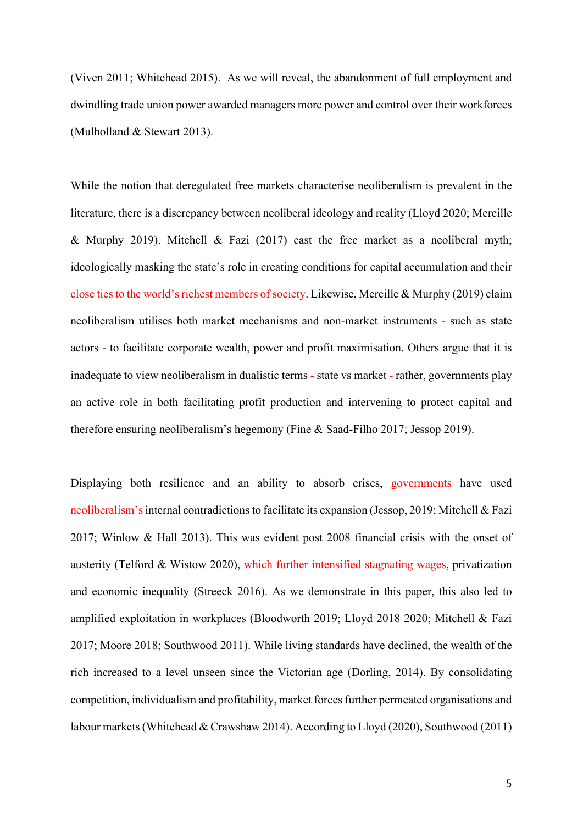(Viven 2011; Whitehead 2015). As we will reveal, the abandonment of full employment and dwindling trade union power awarded managers more power and control over their workforces (Mulholland & Stewart 2013).

While the notion that deregulated free markets characterise neoliberalism is prevalent in the literature, there is a discrepancy between neoliberal ideology and reality (Lloyd 2020; Mercille & Murphy 2019). Mitchell & Fazi (2017) cast the free market as a neoliberal myth; ideologically masking the state's role in creating conditions for capital accumulation and their close ties to the world's richest members of society. Likewise, Mercille & Murphy (2019) claim neoliberalism utilises both market mechanisms and non-market instruments - such as state actors - to facilitate corporate wealth, power and profit maximisation. Others argue that it is inadequate to view neoliberalism in dualistic terms - state vs market - rather, governments play an active role in both facilitating profit production and intervening to protect capital and therefore ensuring neoliberalism's hegemony (Fine & Saad-Filho 2017; Jessop 2019).

Displaying both resilience and an ability to absorb crises, governments have used neoliberalism's internal contradictions to facilitate its expansion (Jessop, 2019; Mitchell & Fazi 2017; Winlow & Hall 2013). This was evident post 2008 financial crisis with the onset of austerity (Telford & Wistow 2020), which further intensified stagnating wages, privatization and economic inequality (Streeck 2016). As we demonstrate in this paper, this also led to amplified exploitation in workplaces (Bloodworth 2019; Lloyd 2018 2020; Mitchell & Fazi 2017; Moore 2018; Southwood 2011). While living standards have declined, the wealth of the rich increased to a level unseen since the Victorian age (Dorling, 2014). By consolidating competition, individualism and profitability, market forces further permeated organisations and labour markets (Whitehead & Crawshaw 2014). According to Lloyd (2020), Southwood (2011)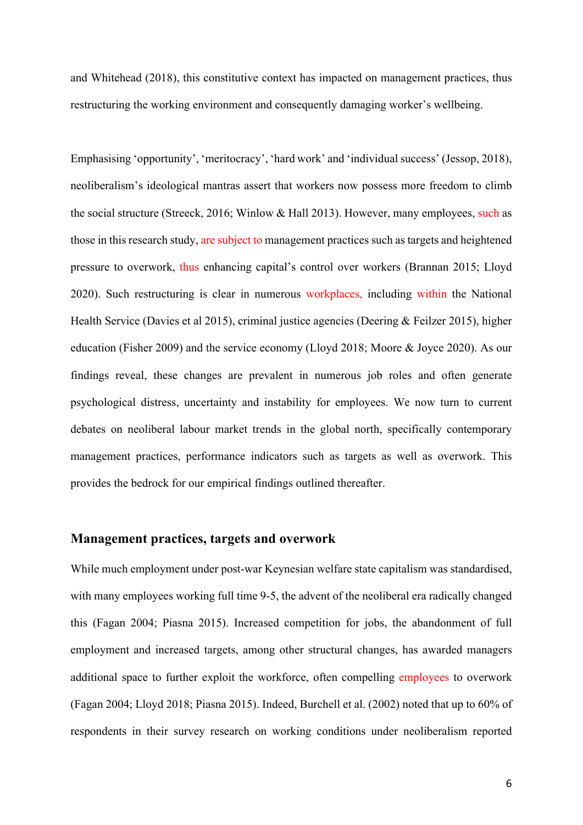and Whitehead (2018), this constitutive context has impacted on management practices, thus restructuring the working environment and consequently damaging worker's wellbeing.

Emphasising 'opportunity', 'meritocracy', 'hard work' and 'individual success' (Jessop, 2018), neoliberalism's ideological mantras assert that workers now possess more freedom to climb the social structure (Streeck, 2016; Winlow & Hall 2013). However, many employees, such as those in this research study, are subject to management practices such as targets and heightened pressure to overwork, thus enhancing capital's control over workers (Brannan 2015; Lloyd 2020). Such restructuring is clear in numerous workplaces, including within the National Health Service (Davies et al 2015), criminal justice agencies (Deering & Feilzer 2015), higher education (Fisher 2009) and the service economy (Lloyd 2018; Moore & Joyce 2020). As our findings reveal, these changes are prevalent in numerous job roles and often generate psychological distress, uncertainty and instability for employees. We now turn to current debates on neoliberal labour market trends in the global north, specifically contemporary management practices, performance indicators such as targets as well as overwork. This provides the bedrock for our empirical findings outlined thereafter.

#### **Management practices, targets and overwork**

While much employment under post-war Keynesian welfare state capitalism was standardised, with many employees working full time 9-5, the advent of the neoliberal era radically changed this (Fagan 2004; Piasna 2015). Increased competition for jobs, the abandonment of full employment and increased targets, among other structural changes, has awarded managers additional space to further exploit the workforce, often compelling employees to overwork (Fagan 2004; Lloyd 2018; Piasna 2015). Indeed, Burchell et al. (2002) noted that up to 60% of respondents in their survey research on working conditions under neoliberalism reported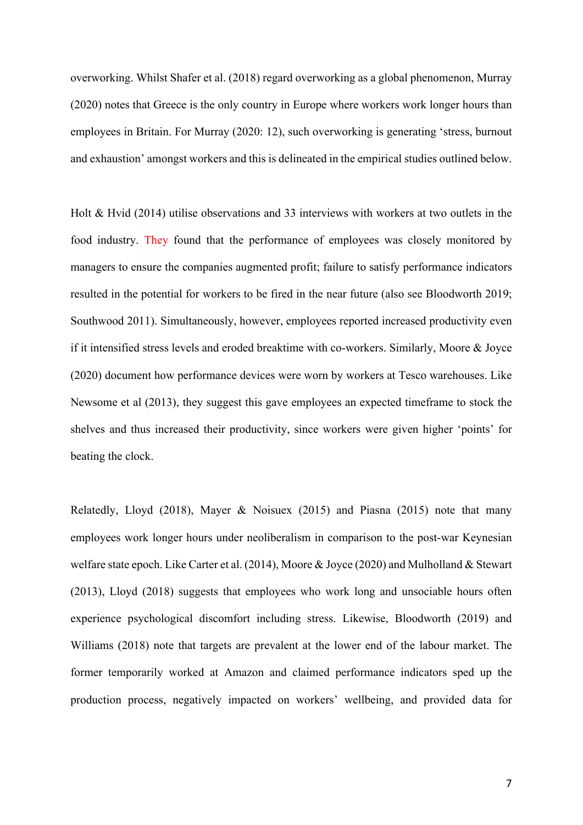overworking. Whilst Shafer et al. (2018) regard overworking as a global phenomenon, Murray (2020) notes that Greece is the only country in Europe where workers work longer hours than employees in Britain. For Murray (2020: 12), such overworking is generating 'stress, burnout and exhaustion' amongst workers and this is delineated in the empirical studies outlined below.

Holt & Hvid (2014) utilise observations and 33 interviews with workers at two outlets in the food industry. They found that the performance of employees was closely monitored by managers to ensure the companies augmented profit; failure to satisfy performance indicators resulted in the potential for workers to be fired in the near future (also see Bloodworth 2019; Southwood 2011). Simultaneously, however, employees reported increased productivity even if it intensified stress levels and eroded breaktime with co-workers. Similarly, Moore & Joyce (2020) document how performance devices were worn by workers at Tesco warehouses. Like Newsome et al (2013), they suggest this gave employees an expected timeframe to stock the shelves and thus increased their productivity, since workers were given higher 'points' for beating the clock.

Relatedly, Lloyd (2018), Mayer & Noisuex (2015) and Piasna (2015) note that many employees work longer hours under neoliberalism in comparison to the post-war Keynesian welfare state epoch. Like Carter et al. (2014), Moore & Joyce (2020) and Mulholland & Stewart (2013), Lloyd (2018) suggests that employees who work long and unsociable hours often experience psychological discomfort including stress. Likewise, Bloodworth (2019) and Williams (2018) note that targets are prevalent at the lower end of the labour market. The former temporarily worked at Amazon and claimed performance indicators sped up the production process, negatively impacted on workers' wellbeing, and provided data for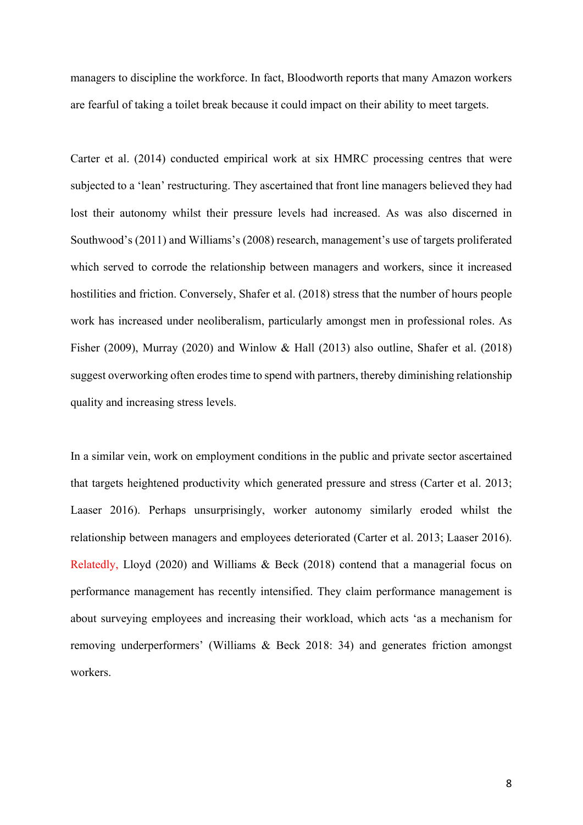managers to discipline the workforce. In fact, Bloodworth reports that many Amazon workers are fearful of taking a toilet break because it could impact on their ability to meet targets.

Carter et al. (2014) conducted empirical work at six HMRC processing centres that were subjected to a 'lean' restructuring. They ascertained that front line managers believed they had lost their autonomy whilst their pressure levels had increased. As was also discerned in Southwood's (2011) and Williams's (2008) research, management's use of targets proliferated which served to corrode the relationship between managers and workers, since it increased hostilities and friction. Conversely, Shafer et al. (2018) stress that the number of hours people work has increased under neoliberalism, particularly amongst men in professional roles. As Fisher (2009), Murray (2020) and Winlow & Hall (2013) also outline, Shafer et al. (2018) suggest overworking often erodes time to spend with partners, thereby diminishing relationship quality and increasing stress levels.

In a similar vein, work on employment conditions in the public and private sector ascertained that targets heightened productivity which generated pressure and stress (Carter et al. 2013; Laaser 2016). Perhaps unsurprisingly, worker autonomy similarly eroded whilst the relationship between managers and employees deteriorated (Carter et al. 2013; Laaser 2016). Relatedly, Lloyd (2020) and Williams & Beck (2018) contend that a managerial focus on performance management has recently intensified. They claim performance management is about surveying employees and increasing their workload, which acts 'as a mechanism for removing underperformers' (Williams & Beck 2018: 34) and generates friction amongst workers.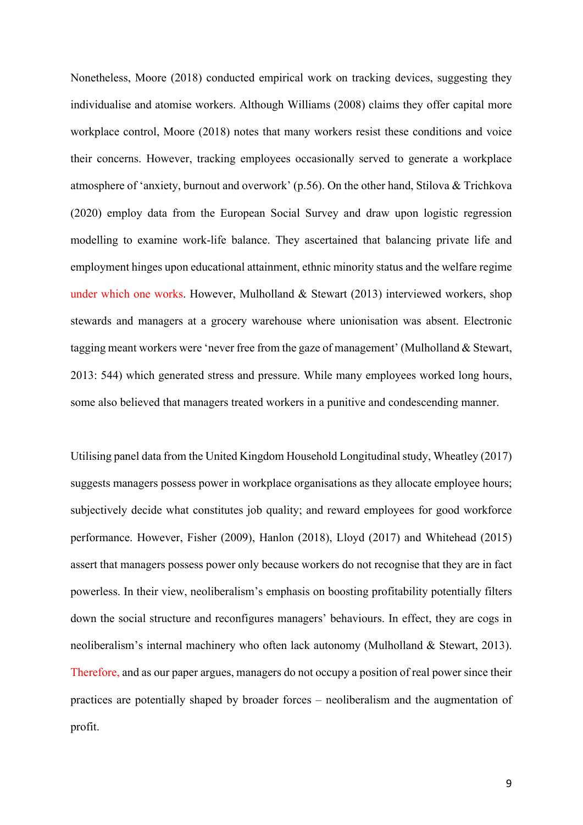Nonetheless, Moore (2018) conducted empirical work on tracking devices, suggesting they individualise and atomise workers. Although Williams (2008) claims they offer capital more workplace control, Moore (2018) notes that many workers resist these conditions and voice their concerns. However, tracking employees occasionally served to generate a workplace atmosphere of 'anxiety, burnout and overwork' (p.56). On the other hand, Stilova & Trichkova (2020) employ data from the European Social Survey and draw upon logistic regression modelling to examine work-life balance. They ascertained that balancing private life and employment hinges upon educational attainment, ethnic minority status and the welfare regime under which one works. However, Mulholland & Stewart (2013) interviewed workers, shop stewards and managers at a grocery warehouse where unionisation was absent. Electronic tagging meant workers were 'never free from the gaze of management' (Mulholland & Stewart, 2013: 544) which generated stress and pressure. While many employees worked long hours, some also believed that managers treated workers in a punitive and condescending manner.

Utilising panel data from the United Kingdom Household Longitudinal study, Wheatley (2017) suggests managers possess power in workplace organisations as they allocate employee hours; subjectively decide what constitutes job quality; and reward employees for good workforce performance. However, Fisher (2009), Hanlon (2018), Lloyd (2017) and Whitehead (2015) assert that managers possess power only because workers do not recognise that they are in fact powerless. In their view, neoliberalism's emphasis on boosting profitability potentially filters down the social structure and reconfigures managers' behaviours. In effect, they are cogs in neoliberalism's internal machinery who often lack autonomy (Mulholland & Stewart, 2013). Therefore, and as our paper argues, managers do not occupy a position of real power since their practices are potentially shaped by broader forces – neoliberalism and the augmentation of profit.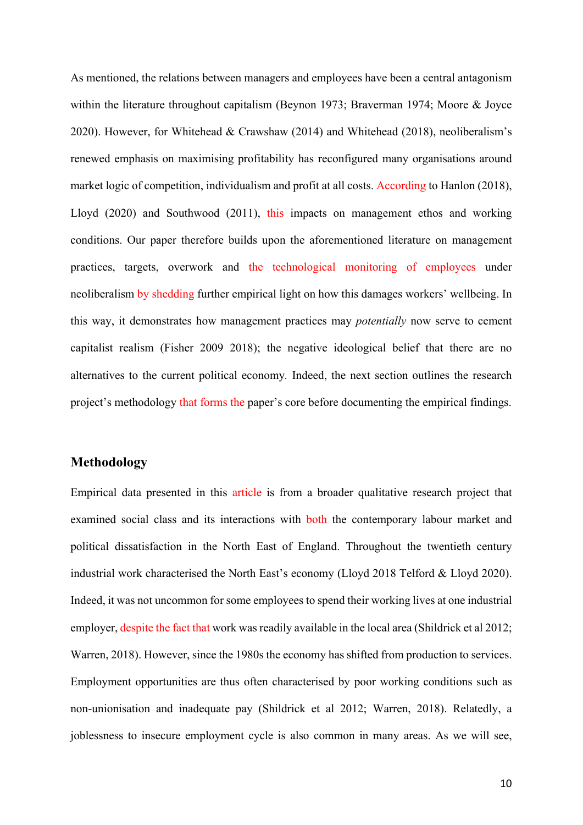As mentioned, the relations between managers and employees have been a central antagonism within the literature throughout capitalism (Beynon 1973; Braverman 1974; Moore & Joyce 2020). However, for Whitehead & Crawshaw (2014) and Whitehead (2018), neoliberalism's renewed emphasis on maximising profitability has reconfigured many organisations around market logic of competition, individualism and profit at all costs. According to Hanlon (2018), Lloyd (2020) and Southwood (2011), this impacts on management ethos and working conditions. Our paper therefore builds upon the aforementioned literature on management practices, targets, overwork and the technological monitoring of employees under neoliberalism by shedding further empirical light on how this damages workers' wellbeing. In this way, it demonstrates how management practices may *potentially* now serve to cement capitalist realism (Fisher 2009 2018); the negative ideological belief that there are no alternatives to the current political economy*.* Indeed, the next section outlines the research project's methodology that forms the paper's core before documenting the empirical findings.

#### **Methodology**

Empirical data presented in this article is from a broader qualitative research project that examined social class and its interactions with both the contemporary labour market and political dissatisfaction in the North East of England. Throughout the twentieth century industrial work characterised the North East's economy (Lloyd 2018 Telford & Lloyd 2020). Indeed, it was not uncommon for some employees to spend their working lives at one industrial employer, despite the fact that work was readily available in the local area (Shildrick et al 2012; Warren, 2018). However, since the 1980s the economy has shifted from production to services. Employment opportunities are thus often characterised by poor working conditions such as non-unionisation and inadequate pay (Shildrick et al 2012; Warren, 2018). Relatedly, a joblessness to insecure employment cycle is also common in many areas. As we will see,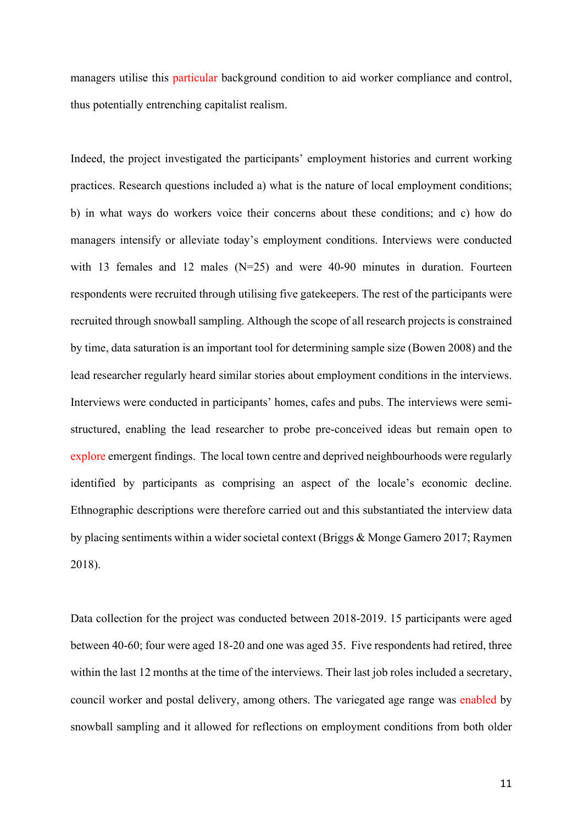managers utilise this particular background condition to aid worker compliance and control, thus potentially entrenching capitalist realism.

Indeed, the project investigated the participants' employment histories and current working practices. Research questions included a) what is the nature of local employment conditions; b) in what ways do workers voice their concerns about these conditions; and c) how do managers intensify or alleviate today's employment conditions. Interviews were conducted with 13 females and 12 males (N=25) and were 40-90 minutes in duration. Fourteen respondents were recruited through utilising five gatekeepers. The rest of the participants were recruited through snowball sampling. Although the scope of all research projects is constrained by time, data saturation is an important tool for determining sample size (Bowen 2008) and the lead researcher regularly heard similar stories about employment conditions in the interviews. Interviews were conducted in participants' homes, cafes and pubs. The interviews were semistructured, enabling the lead researcher to probe pre-conceived ideas but remain open to explore emergent findings. The local town centre and deprived neighbourhoods were regularly identified by participants as comprising an aspect of the locale's economic decline. Ethnographic descriptions were therefore carried out and this substantiated the interview data by placing sentiments within a wider societal context (Briggs & Monge Gamero 2017; Raymen 2018).

Data collection for the project was conducted between 2018-2019. 15 participants were aged between 40-60; four were aged 18-20 and one was aged 35. Five respondents had retired, three within the last 12 months at the time of the interviews. Their last job roles included a secretary, council worker and postal delivery, among others. The variegated age range was enabled by snowball sampling and it allowed for reflections on employment conditions from both older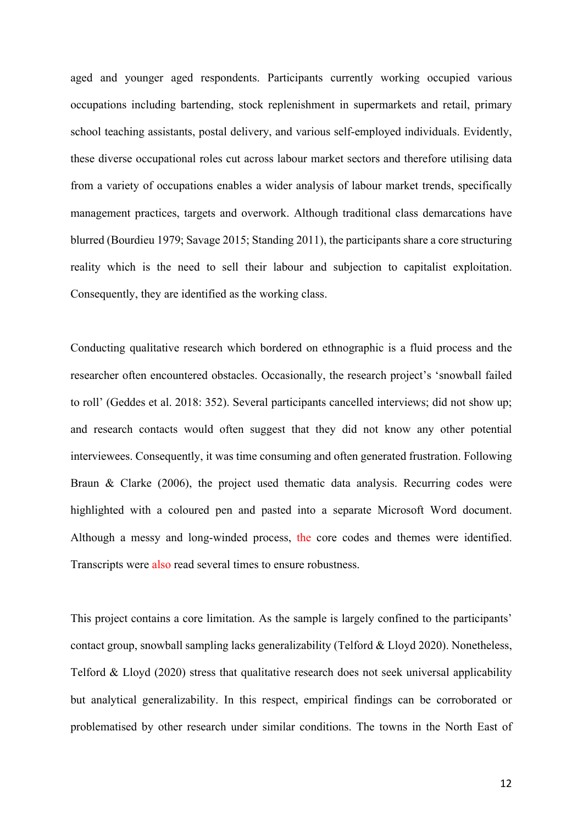aged and younger aged respondents. Participants currently working occupied various occupations including bartending, stock replenishment in supermarkets and retail, primary school teaching assistants, postal delivery, and various self-employed individuals. Evidently, these diverse occupational roles cut across labour market sectors and therefore utilising data from a variety of occupations enables a wider analysis of labour market trends, specifically management practices, targets and overwork. Although traditional class demarcations have blurred (Bourdieu 1979; Savage 2015; Standing 2011), the participants share a core structuring reality which is the need to sell their labour and subjection to capitalist exploitation. Consequently, they are identified as the working class.

Conducting qualitative research which bordered on ethnographic is a fluid process and the researcher often encountered obstacles. Occasionally, the research project's 'snowball failed to roll' (Geddes et al. 2018: 352). Several participants cancelled interviews; did not show up; and research contacts would often suggest that they did not know any other potential interviewees. Consequently, it was time consuming and often generated frustration. Following Braun & Clarke (2006), the project used thematic data analysis. Recurring codes were highlighted with a coloured pen and pasted into a separate Microsoft Word document. Although a messy and long-winded process, the core codes and themes were identified. Transcripts were also read several times to ensure robustness.

This project contains a core limitation. As the sample is largely confined to the participants' contact group, snowball sampling lacks generalizability (Telford & Lloyd 2020). Nonetheless, Telford & Lloyd (2020) stress that qualitative research does not seek universal applicability but analytical generalizability. In this respect, empirical findings can be corroborated or problematised by other research under similar conditions. The towns in the North East of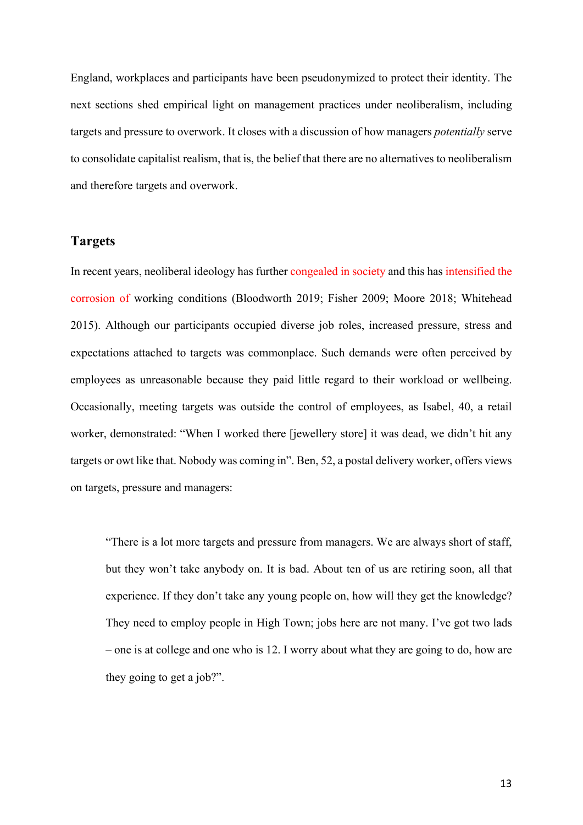England, workplaces and participants have been pseudonymized to protect their identity. The next sections shed empirical light on management practices under neoliberalism, including targets and pressure to overwork. It closes with a discussion of how managers *potentially* serve to consolidate capitalist realism, that is, the belief that there are no alternatives to neoliberalism and therefore targets and overwork.

## **Targets**

In recent years, neoliberal ideology has further congealed in society and this has intensified the corrosion of working conditions (Bloodworth 2019; Fisher 2009; Moore 2018; Whitehead 2015). Although our participants occupied diverse job roles, increased pressure, stress and expectations attached to targets was commonplace. Such demands were often perceived by employees as unreasonable because they paid little regard to their workload or wellbeing. Occasionally, meeting targets was outside the control of employees, as Isabel, 40, a retail worker, demonstrated: "When I worked there [jewellery store] it was dead, we didn't hit any targets or owt like that. Nobody was coming in". Ben, 52, a postal delivery worker, offers views on targets, pressure and managers:

"There is a lot more targets and pressure from managers. We are always short of staff, but they won't take anybody on. It is bad. About ten of us are retiring soon, all that experience. If they don't take any young people on, how will they get the knowledge? They need to employ people in High Town; jobs here are not many. I've got two lads – one is at college and one who is 12. I worry about what they are going to do, how are they going to get a job?".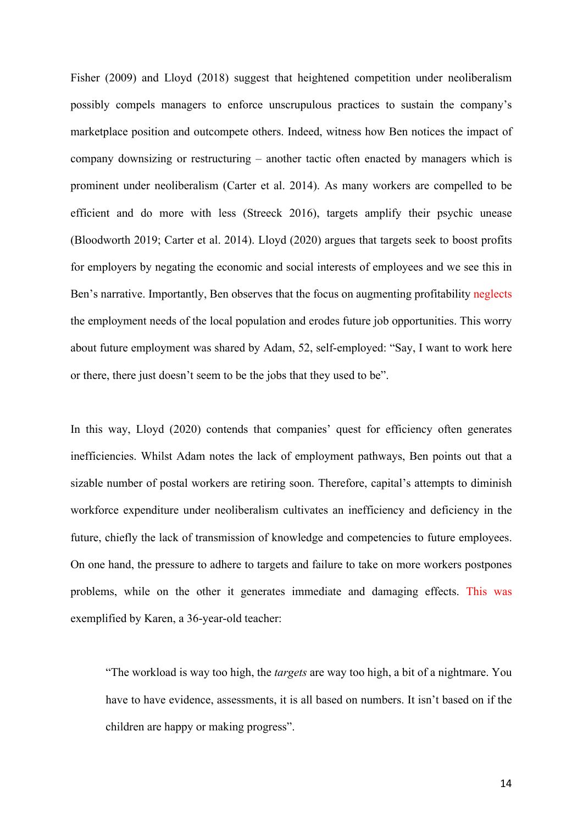Fisher (2009) and Lloyd (2018) suggest that heightened competition under neoliberalism possibly compels managers to enforce unscrupulous practices to sustain the company's marketplace position and outcompete others. Indeed, witness how Ben notices the impact of company downsizing or restructuring – another tactic often enacted by managers which is prominent under neoliberalism (Carter et al. 2014). As many workers are compelled to be efficient and do more with less (Streeck 2016), targets amplify their psychic unease (Bloodworth 2019; Carter et al. 2014). Lloyd (2020) argues that targets seek to boost profits for employers by negating the economic and social interests of employees and we see this in Ben's narrative. Importantly, Ben observes that the focus on augmenting profitability neglects the employment needs of the local population and erodes future job opportunities. This worry about future employment was shared by Adam, 52, self-employed: "Say, I want to work here or there, there just doesn't seem to be the jobs that they used to be".

In this way, Lloyd (2020) contends that companies' quest for efficiency often generates inefficiencies. Whilst Adam notes the lack of employment pathways, Ben points out that a sizable number of postal workers are retiring soon. Therefore, capital's attempts to diminish workforce expenditure under neoliberalism cultivates an inefficiency and deficiency in the future, chiefly the lack of transmission of knowledge and competencies to future employees. On one hand, the pressure to adhere to targets and failure to take on more workers postpones problems, while on the other it generates immediate and damaging effects. This was exemplified by Karen, a 36-year-old teacher:

"The workload is way too high, the *targets* are way too high, a bit of a nightmare. You have to have evidence, assessments, it is all based on numbers. It isn't based on if the children are happy or making progress".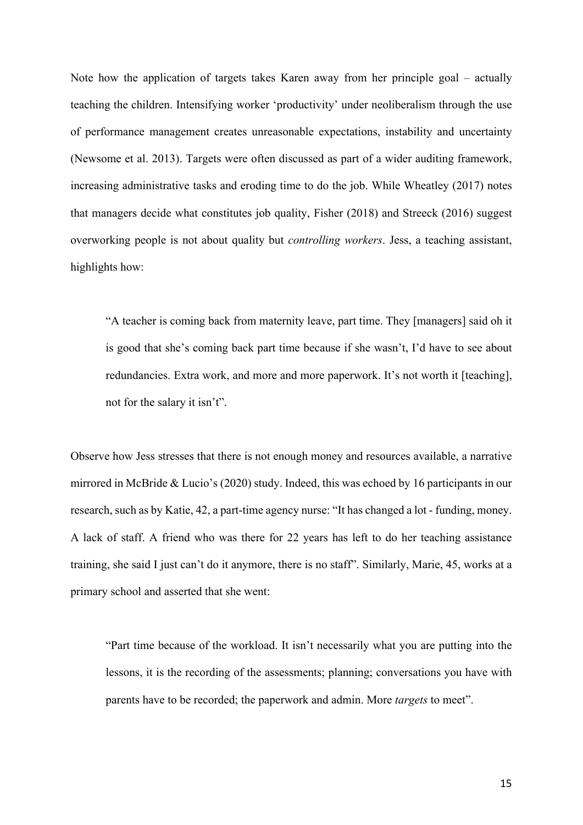Note how the application of targets takes Karen away from her principle goal – actually teaching the children. Intensifying worker 'productivity' under neoliberalism through the use of performance management creates unreasonable expectations, instability and uncertainty (Newsome et al. 2013). Targets were often discussed as part of a wider auditing framework, increasing administrative tasks and eroding time to do the job. While Wheatley (2017) notes that managers decide what constitutes job quality, Fisher (2018) and Streeck (2016) suggest overworking people is not about quality but *controlling workers*. Jess, a teaching assistant, highlights how:

"A teacher is coming back from maternity leave, part time. They [managers] said oh it is good that she's coming back part time because if she wasn't, I'd have to see about redundancies. Extra work, and more and more paperwork. It's not worth it [teaching], not for the salary it isn't".

Observe how Jess stresses that there is not enough money and resources available, a narrative mirrored in McBride & Lucio's (2020) study. Indeed, this was echoed by 16 participants in our research, such as by Katie, 42, a part-time agency nurse: "It has changed a lot - funding, money. A lack of staff. A friend who was there for 22 years has left to do her teaching assistance training, she said I just can't do it anymore, there is no staff". Similarly, Marie, 45, works at a primary school and asserted that she went:

"Part time because of the workload. It isn't necessarily what you are putting into the lessons, it is the recording of the assessments; planning; conversations you have with parents have to be recorded; the paperwork and admin. More *targets* to meet".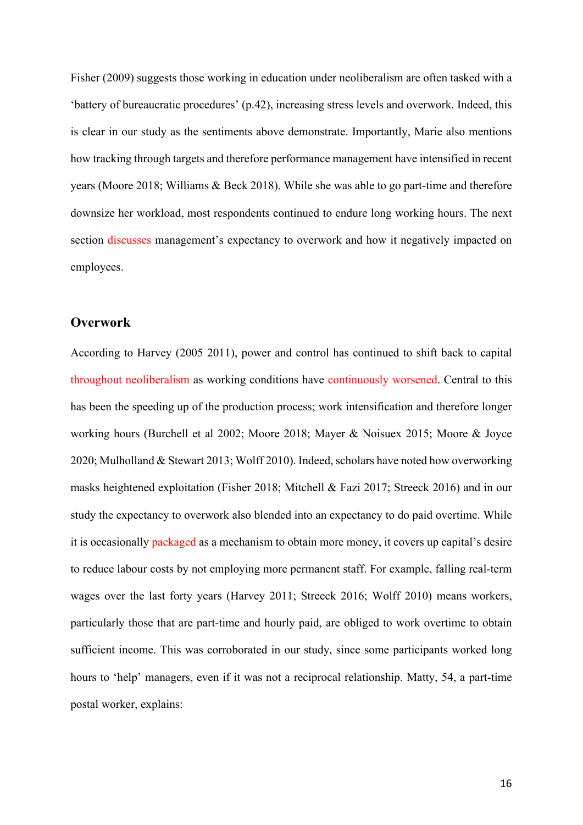Fisher (2009) suggests those working in education under neoliberalism are often tasked with a 'battery of bureaucratic procedures' (p.42), increasing stress levels and overwork. Indeed, this is clear in our study as the sentiments above demonstrate. Importantly, Marie also mentions how tracking through targets and therefore performance management have intensified in recent years (Moore 2018; Williams & Beck 2018). While she was able to go part-time and therefore downsize her workload, most respondents continued to endure long working hours. The next section discusses management's expectancy to overwork and how it negatively impacted on employees.

### **Overwork**

According to Harvey (2005 2011), power and control has continued to shift back to capital throughout neoliberalism as working conditions have continuously worsened. Central to this has been the speeding up of the production process; work intensification and therefore longer working hours (Burchell et al 2002; Moore 2018; Mayer & Noisuex 2015; Moore & Joyce 2020; Mulholland & Stewart 2013; Wolff 2010). Indeed, scholars have noted how overworking masks heightened exploitation (Fisher 2018; Mitchell & Fazi 2017; Streeck 2016) and in our study the expectancy to overwork also blended into an expectancy to do paid overtime. While it is occasionally packaged as a mechanism to obtain more money, it covers up capital's desire to reduce labour costs by not employing more permanent staff. For example, falling real-term wages over the last forty years (Harvey 2011; Streeck 2016; Wolff 2010) means workers, particularly those that are part-time and hourly paid, are obliged to work overtime to obtain sufficient income. This was corroborated in our study, since some participants worked long hours to 'help' managers, even if it was not a reciprocal relationship. Matty, 54, a part-time postal worker, explains: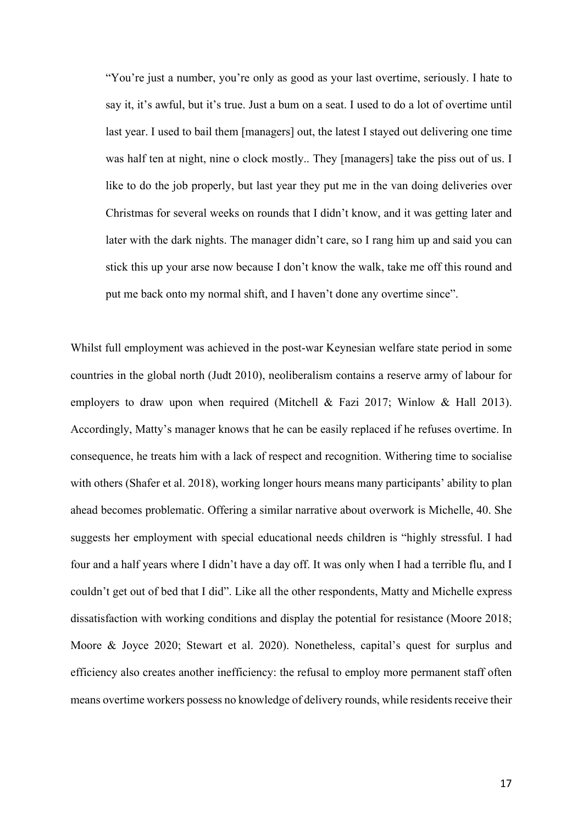"You're just a number, you're only as good as your last overtime, seriously. I hate to say it, it's awful, but it's true. Just a bum on a seat. I used to do a lot of overtime until last year. I used to bail them [managers] out, the latest I stayed out delivering one time was half ten at night, nine o clock mostly.. They [managers] take the piss out of us. I like to do the job properly, but last year they put me in the van doing deliveries over Christmas for several weeks on rounds that I didn't know, and it was getting later and later with the dark nights. The manager didn't care, so I rang him up and said you can stick this up your arse now because I don't know the walk, take me off this round and put me back onto my normal shift, and I haven't done any overtime since".

Whilst full employment was achieved in the post-war Keynesian welfare state period in some countries in the global north (Judt 2010), neoliberalism contains a reserve army of labour for employers to draw upon when required (Mitchell & Fazi 2017; Winlow & Hall 2013). Accordingly, Matty's manager knows that he can be easily replaced if he refuses overtime. In consequence, he treats him with a lack of respect and recognition. Withering time to socialise with others (Shafer et al. 2018), working longer hours means many participants' ability to plan ahead becomes problematic. Offering a similar narrative about overwork is Michelle, 40. She suggests her employment with special educational needs children is "highly stressful. I had four and a half years where I didn't have a day off. It was only when I had a terrible flu, and I couldn't get out of bed that I did". Like all the other respondents, Matty and Michelle express dissatisfaction with working conditions and display the potential for resistance (Moore 2018; Moore & Joyce 2020; Stewart et al. 2020). Nonetheless, capital's quest for surplus and efficiency also creates another inefficiency: the refusal to employ more permanent staff often means overtime workers possess no knowledge of delivery rounds, while residents receive their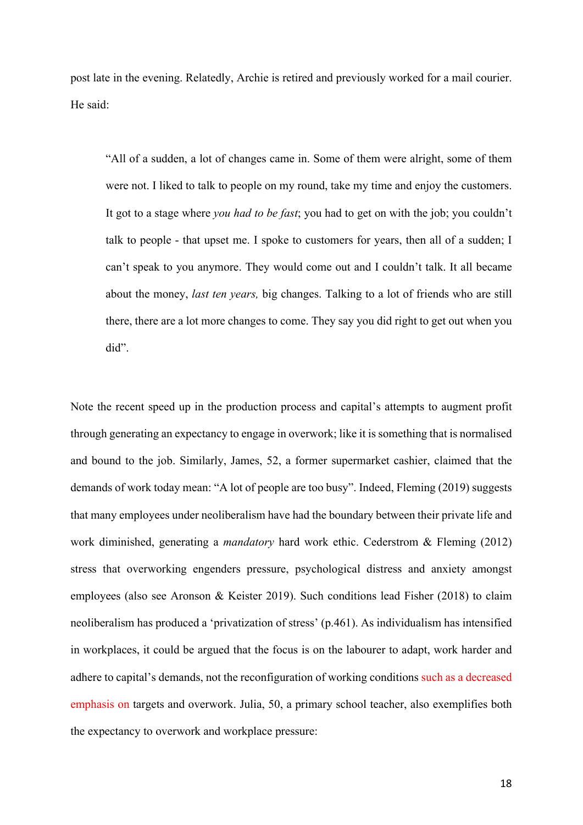post late in the evening. Relatedly, Archie is retired and previously worked for a mail courier. He said:

"All of a sudden, a lot of changes came in. Some of them were alright, some of them were not. I liked to talk to people on my round, take my time and enjoy the customers. It got to a stage where *you had to be fast*; you had to get on with the job; you couldn't talk to people - that upset me. I spoke to customers for years, then all of a sudden; I can't speak to you anymore. They would come out and I couldn't talk. It all became about the money, *last ten years,* big changes. Talking to a lot of friends who are still there, there are a lot more changes to come. They say you did right to get out when you did".

Note the recent speed up in the production process and capital's attempts to augment profit through generating an expectancy to engage in overwork; like it is something that is normalised and bound to the job. Similarly, James, 52, a former supermarket cashier, claimed that the demands of work today mean: "A lot of people are too busy". Indeed, Fleming (2019) suggests that many employees under neoliberalism have had the boundary between their private life and work diminished, generating a *mandatory* hard work ethic. Cederstrom & Fleming (2012) stress that overworking engenders pressure, psychological distress and anxiety amongst employees (also see Aronson & Keister 2019). Such conditions lead Fisher (2018) to claim neoliberalism has produced a 'privatization of stress' (p.461). As individualism has intensified in workplaces, it could be argued that the focus is on the labourer to adapt, work harder and adhere to capital's demands, not the reconfiguration of working conditions such as a decreased emphasis on targets and overwork. Julia, 50, a primary school teacher, also exemplifies both the expectancy to overwork and workplace pressure: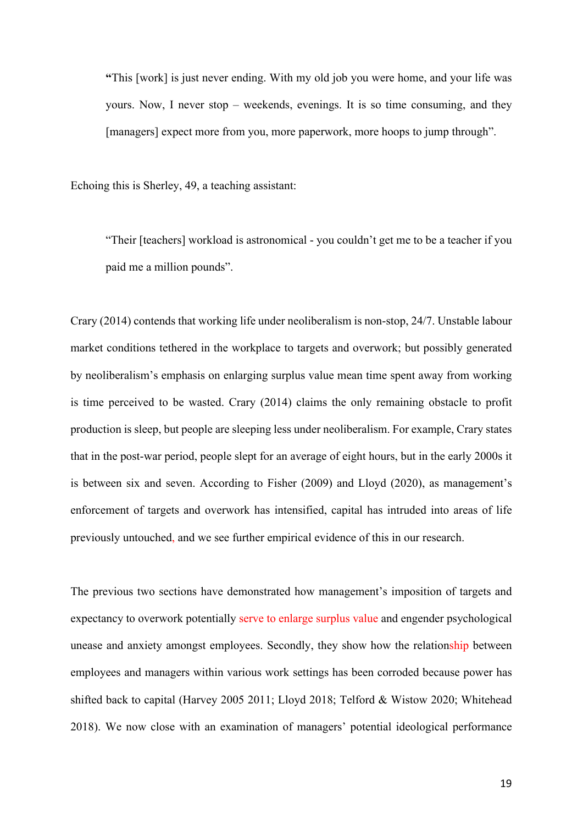**"**This [work] is just never ending. With my old job you were home, and your life was yours. Now, I never stop – weekends, evenings. It is so time consuming, and they [managers] expect more from you, more paperwork, more hoops to jump through".

Echoing this is Sherley, 49, a teaching assistant:

"Their [teachers] workload is astronomical - you couldn't get me to be a teacher if you paid me a million pounds".

Crary (2014) contends that working life under neoliberalism is non-stop, 24/7. Unstable labour market conditions tethered in the workplace to targets and overwork; but possibly generated by neoliberalism's emphasis on enlarging surplus value mean time spent away from working is time perceived to be wasted. Crary (2014) claims the only remaining obstacle to profit production is sleep, but people are sleeping less under neoliberalism. For example, Crary states that in the post-war period, people slept for an average of eight hours, but in the early 2000s it is between six and seven. According to Fisher (2009) and Lloyd (2020), as management's enforcement of targets and overwork has intensified, capital has intruded into areas of life previously untouched, and we see further empirical evidence of this in our research.

The previous two sections have demonstrated how management's imposition of targets and expectancy to overwork potentially serve to enlarge surplus value and engender psychological unease and anxiety amongst employees. Secondly, they show how the relationship between employees and managers within various work settings has been corroded because power has shifted back to capital (Harvey 2005 2011; Lloyd 2018; Telford & Wistow 2020; Whitehead 2018). We now close with an examination of managers' potential ideological performance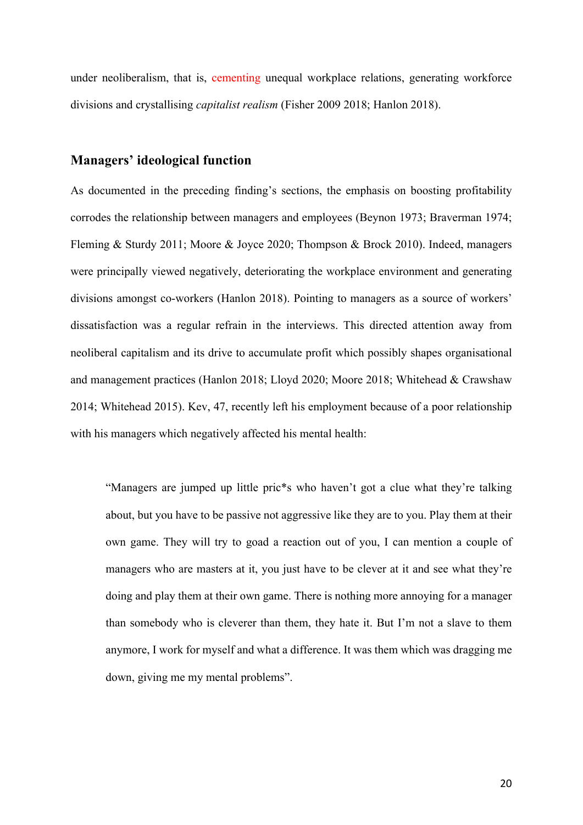under neoliberalism, that is, cementing unequal workplace relations, generating workforce divisions and crystallising *capitalist realism* (Fisher 2009 2018; Hanlon 2018).

## **Managers' ideological function**

As documented in the preceding finding's sections, the emphasis on boosting profitability corrodes the relationship between managers and employees (Beynon 1973; Braverman 1974; Fleming & Sturdy 2011; Moore & Joyce 2020; Thompson & Brock 2010). Indeed, managers were principally viewed negatively, deteriorating the workplace environment and generating divisions amongst co-workers (Hanlon 2018). Pointing to managers as a source of workers' dissatisfaction was a regular refrain in the interviews. This directed attention away from neoliberal capitalism and its drive to accumulate profit which possibly shapes organisational and management practices (Hanlon 2018; Lloyd 2020; Moore 2018; Whitehead & Crawshaw 2014; Whitehead 2015). Kev, 47, recently left his employment because of a poor relationship with his managers which negatively affected his mental health:

"Managers are jumped up little pric\*s who haven't got a clue what they're talking about, but you have to be passive not aggressive like they are to you. Play them at their own game. They will try to goad a reaction out of you, I can mention a couple of managers who are masters at it, you just have to be clever at it and see what they're doing and play them at their own game. There is nothing more annoying for a manager than somebody who is cleverer than them, they hate it. But I'm not a slave to them anymore, I work for myself and what a difference. It was them which was dragging me down, giving me my mental problems".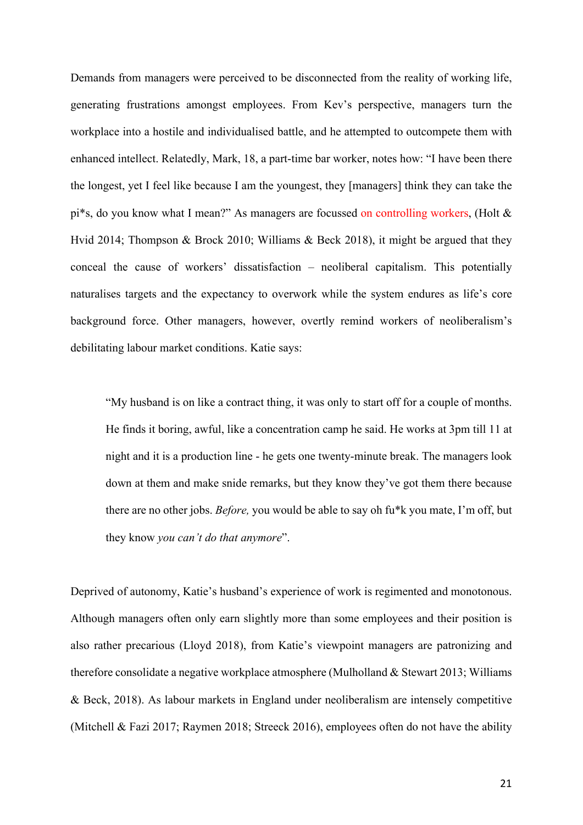Demands from managers were perceived to be disconnected from the reality of working life, generating frustrations amongst employees. From Kev's perspective, managers turn the workplace into a hostile and individualised battle, and he attempted to outcompete them with enhanced intellect. Relatedly, Mark, 18, a part-time bar worker, notes how: "I have been there the longest, yet I feel like because I am the youngest, they [managers] think they can take the pi\*s, do you know what I mean?" As managers are focussed on controlling workers, (Holt & Hvid 2014; Thompson & Brock 2010; Williams & Beck 2018), it might be argued that they conceal the cause of workers' dissatisfaction – neoliberal capitalism. This potentially naturalises targets and the expectancy to overwork while the system endures as life's core background force. Other managers, however, overtly remind workers of neoliberalism's debilitating labour market conditions. Katie says:

"My husband is on like a contract thing, it was only to start off for a couple of months. He finds it boring, awful, like a concentration camp he said. He works at 3pm till 11 at night and it is a production line - he gets one twenty-minute break. The managers look down at them and make snide remarks, but they know they've got them there because there are no other jobs. *Before,* you would be able to say oh fu\*k you mate, I'm off, but they know *you can't do that anymore*".

Deprived of autonomy, Katie's husband's experience of work is regimented and monotonous. Although managers often only earn slightly more than some employees and their position is also rather precarious (Lloyd 2018), from Katie's viewpoint managers are patronizing and therefore consolidate a negative workplace atmosphere (Mulholland & Stewart 2013; Williams & Beck, 2018). As labour markets in England under neoliberalism are intensely competitive (Mitchell & Fazi 2017; Raymen 2018; Streeck 2016), employees often do not have the ability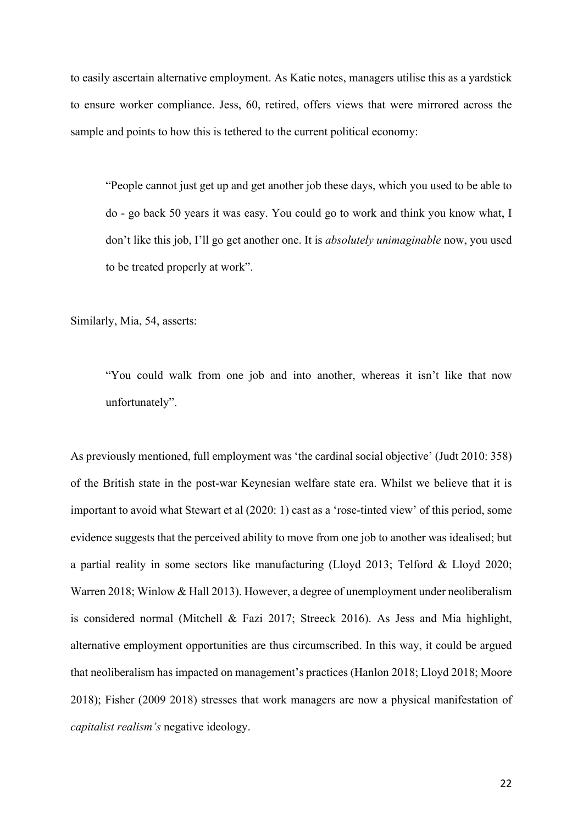to easily ascertain alternative employment. As Katie notes, managers utilise this as a yardstick to ensure worker compliance. Jess, 60, retired, offers views that were mirrored across the sample and points to how this is tethered to the current political economy:

"People cannot just get up and get another job these days, which you used to be able to do - go back 50 years it was easy. You could go to work and think you know what, I don't like this job, I'll go get another one. It is *absolutely unimaginable* now, you used to be treated properly at work".

Similarly, Mia, 54, asserts:

"You could walk from one job and into another, whereas it isn't like that now unfortunately".

As previously mentioned, full employment was 'the cardinal social objective' (Judt 2010: 358) of the British state in the post-war Keynesian welfare state era. Whilst we believe that it is important to avoid what Stewart et al (2020: 1) cast as a 'rose-tinted view' of this period, some evidence suggests that the perceived ability to move from one job to another was idealised; but a partial reality in some sectors like manufacturing (Lloyd 2013; Telford & Lloyd 2020; Warren 2018; Winlow & Hall 2013). However, a degree of unemployment under neoliberalism is considered normal (Mitchell & Fazi 2017; Streeck 2016). As Jess and Mia highlight, alternative employment opportunities are thus circumscribed. In this way, it could be argued that neoliberalism has impacted on management's practices (Hanlon 2018; Lloyd 2018; Moore 2018); Fisher (2009 2018) stresses that work managers are now a physical manifestation of *capitalist realism's* negative ideology.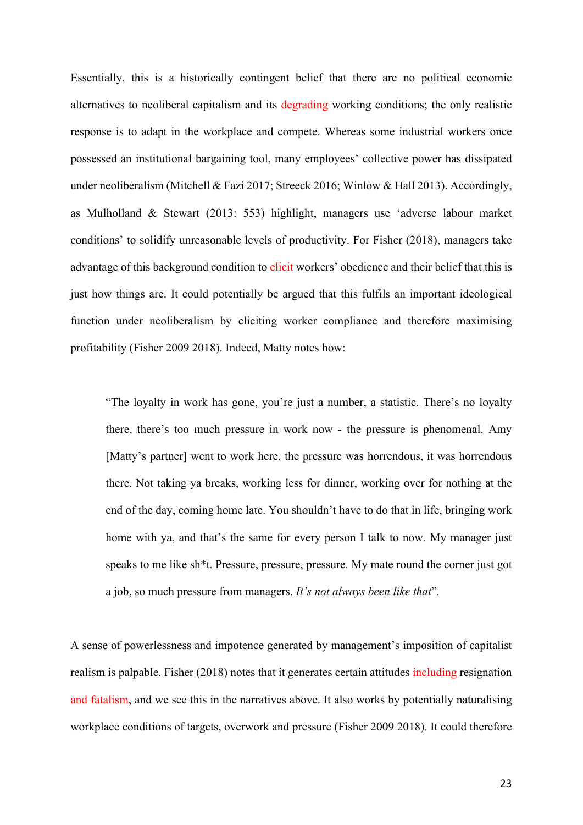Essentially, this is a historically contingent belief that there are no political economic alternatives to neoliberal capitalism and its degrading working conditions; the only realistic response is to adapt in the workplace and compete. Whereas some industrial workers once possessed an institutional bargaining tool, many employees' collective power has dissipated under neoliberalism (Mitchell & Fazi 2017; Streeck 2016; Winlow & Hall 2013). Accordingly, as Mulholland & Stewart (2013: 553) highlight, managers use 'adverse labour market conditions' to solidify unreasonable levels of productivity. For Fisher (2018), managers take advantage of this background condition to elicit workers' obedience and their belief that this is just how things are. It could potentially be argued that this fulfils an important ideological function under neoliberalism by eliciting worker compliance and therefore maximising profitability (Fisher 2009 2018). Indeed, Matty notes how:

"The loyalty in work has gone, you're just a number, a statistic. There's no loyalty there, there's too much pressure in work now - the pressure is phenomenal. Amy [Matty's partner] went to work here, the pressure was horrendous, it was horrendous there. Not taking ya breaks, working less for dinner, working over for nothing at the end of the day, coming home late. You shouldn't have to do that in life, bringing work home with ya, and that's the same for every person I talk to now. My manager just speaks to me like sh\*t. Pressure, pressure, pressure. My mate round the corner just got a job, so much pressure from managers. *It's not always been like that*".

A sense of powerlessness and impotence generated by management's imposition of capitalist realism is palpable. Fisher (2018) notes that it generates certain attitudes including resignation and fatalism, and we see this in the narratives above. It also works by potentially naturalising workplace conditions of targets, overwork and pressure (Fisher 2009 2018). It could therefore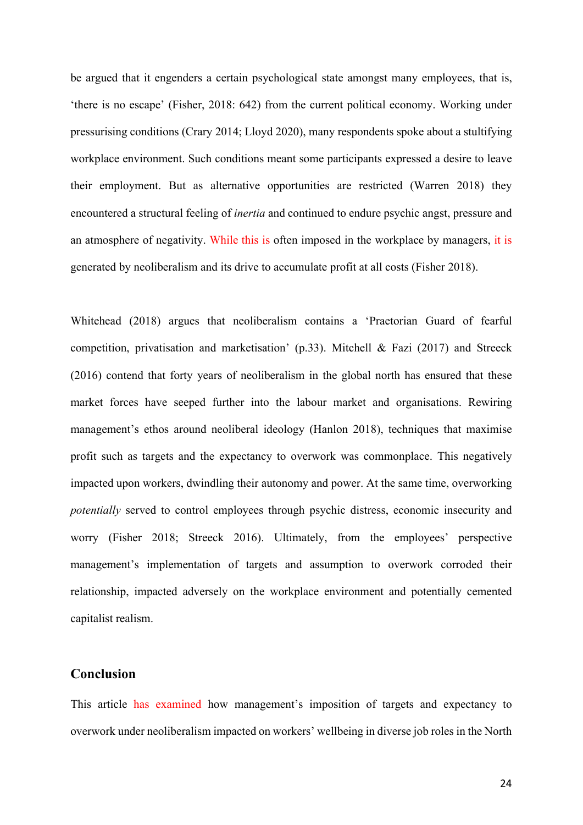be argued that it engenders a certain psychological state amongst many employees, that is, 'there is no escape' (Fisher, 2018: 642) from the current political economy. Working under pressurising conditions (Crary 2014; Lloyd 2020), many respondents spoke about a stultifying workplace environment. Such conditions meant some participants expressed a desire to leave their employment. But as alternative opportunities are restricted (Warren 2018) they encountered a structural feeling of *inertia* and continued to endure psychic angst, pressure and an atmosphere of negativity. While this is often imposed in the workplace by managers, it is generated by neoliberalism and its drive to accumulate profit at all costs (Fisher 2018).

Whitehead (2018) argues that neoliberalism contains a 'Praetorian Guard of fearful competition, privatisation and marketisation' (p.33). Mitchell & Fazi (2017) and Streeck (2016) contend that forty years of neoliberalism in the global north has ensured that these market forces have seeped further into the labour market and organisations. Rewiring management's ethos around neoliberal ideology (Hanlon 2018), techniques that maximise profit such as targets and the expectancy to overwork was commonplace. This negatively impacted upon workers, dwindling their autonomy and power. At the same time, overworking *potentially* served to control employees through psychic distress, economic insecurity and worry (Fisher 2018; Streeck 2016). Ultimately, from the employees' perspective management's implementation of targets and assumption to overwork corroded their relationship, impacted adversely on the workplace environment and potentially cemented capitalist realism.

### **Conclusion**

This article has examined how management's imposition of targets and expectancy to overwork under neoliberalism impacted on workers' wellbeing in diverse job roles in the North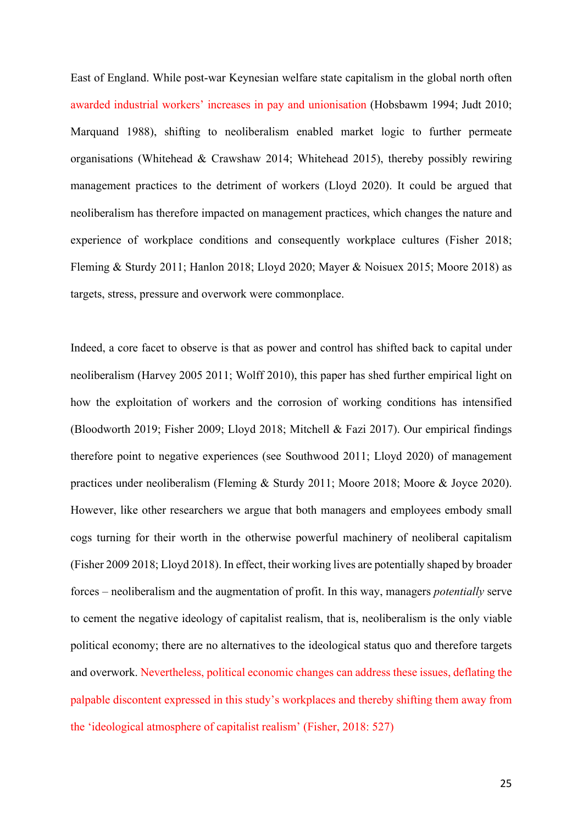East of England. While post-war Keynesian welfare state capitalism in the global north often awarded industrial workers' increases in pay and unionisation (Hobsbawm 1994; Judt 2010; Marquand 1988), shifting to neoliberalism enabled market logic to further permeate organisations (Whitehead & Crawshaw 2014; Whitehead 2015), thereby possibly rewiring management practices to the detriment of workers (Lloyd 2020). It could be argued that neoliberalism has therefore impacted on management practices, which changes the nature and experience of workplace conditions and consequently workplace cultures (Fisher 2018; Fleming & Sturdy 2011; Hanlon 2018; Lloyd 2020; Mayer & Noisuex 2015; Moore 2018) as targets, stress, pressure and overwork were commonplace.

Indeed, a core facet to observe is that as power and control has shifted back to capital under neoliberalism (Harvey 2005 2011; Wolff 2010), this paper has shed further empirical light on how the exploitation of workers and the corrosion of working conditions has intensified (Bloodworth 2019; Fisher 2009; Lloyd 2018; Mitchell & Fazi 2017). Our empirical findings therefore point to negative experiences (see Southwood 2011; Lloyd 2020) of management practices under neoliberalism (Fleming & Sturdy 2011; Moore 2018; Moore & Joyce 2020). However, like other researchers we argue that both managers and employees embody small cogs turning for their worth in the otherwise powerful machinery of neoliberal capitalism (Fisher 2009 2018; Lloyd 2018). In effect, their working lives are potentially shaped by broader forces – neoliberalism and the augmentation of profit. In this way, managers *potentially* serve to cement the negative ideology of capitalist realism, that is, neoliberalism is the only viable political economy; there are no alternatives to the ideological status quo and therefore targets and overwork. Nevertheless, political economic changes can address these issues, deflating the palpable discontent expressed in this study's workplaces and thereby shifting them away from the 'ideological atmosphere of capitalist realism' (Fisher, 2018: 527)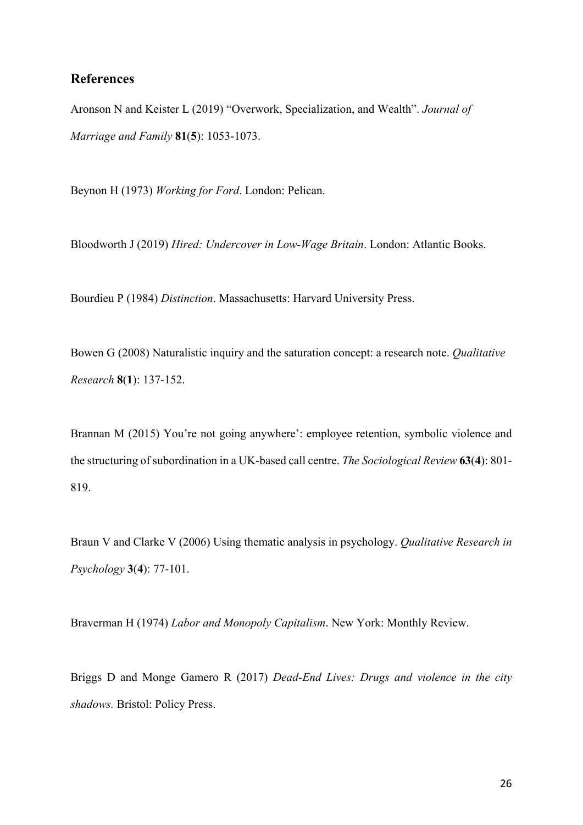# **References**

Aronson N and Keister L (2019) "Overwork, Specialization, and Wealth". *Journal of Marriage and Family* **81**(**5**): 1053-1073.

Beynon H (1973) *Working for Ford*. London: Pelican.

Bloodworth J (2019) *Hired: Undercover in Low-Wage Britain*. London: Atlantic Books.

Bourdieu P (1984) *Distinction*. Massachusetts: Harvard University Press.

Bowen G (2008) Naturalistic inquiry and the saturation concept: a research note. *Qualitative Research* **8**(**1**): 137-152.

Brannan M (2015) You're not going anywhere': employee retention, symbolic violence and the structuring of subordination in a UK-based call centre. *The Sociological Review* **63**(**4**): 801- 819.

Braun V and Clarke V (2006) Using thematic analysis in psychology. *Qualitative Research in Psychology* **3**(**4**): 77-101.

Braverman H (1974) *Labor and Monopoly Capitalism*. New York: Monthly Review.

Briggs D and Monge Gamero R (2017) *Dead-End Lives: Drugs and violence in the city shadows.* Bristol: Policy Press.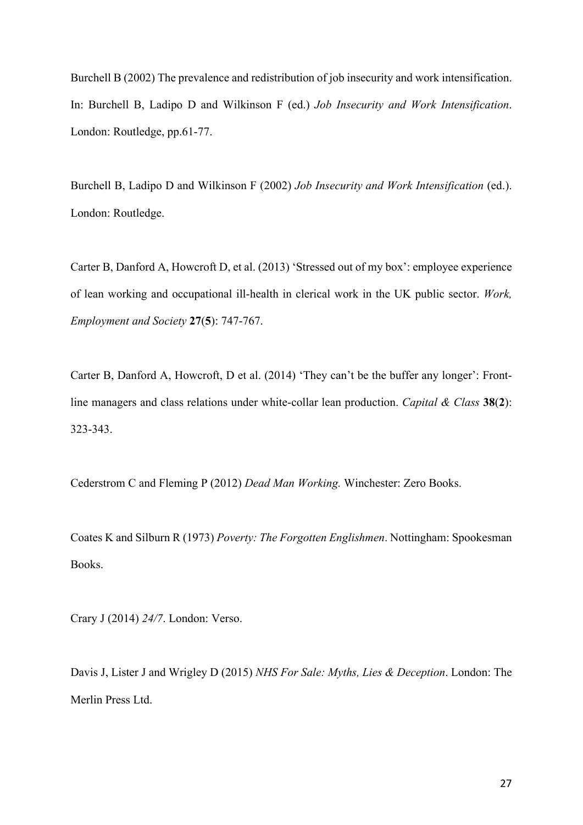Burchell B (2002) The prevalence and redistribution of job insecurity and work intensification. In: Burchell B, Ladipo D and Wilkinson F (ed.) *Job Insecurity and Work Intensification*. London: Routledge, pp.61-77.

Burchell B, Ladipo D and Wilkinson F (2002) *Job Insecurity and Work Intensification* (ed.). London: Routledge.

Carter B, Danford A, Howcroft D, et al. (2013) 'Stressed out of my box': employee experience of lean working and occupational ill-health in clerical work in the UK public sector. *Work, Employment and Society* **27**(**5**): 747-767.

Carter B, Danford A, Howcroft, D et al. (2014) 'They can't be the buffer any longer': Frontline managers and class relations under white-collar lean production. *Capital & Class* **38**(**2**): 323-343.

Cederstrom C and Fleming P (2012) *Dead Man Working.* Winchester: Zero Books.

Coates K and Silburn R (1973) *Poverty: The Forgotten Englishmen*. Nottingham: Spookesman Books.

Crary J (2014) *24/7*. London: Verso.

Davis J, Lister J and Wrigley D (2015) *NHS For Sale: Myths, Lies & Deception*. London: The Merlin Press Ltd.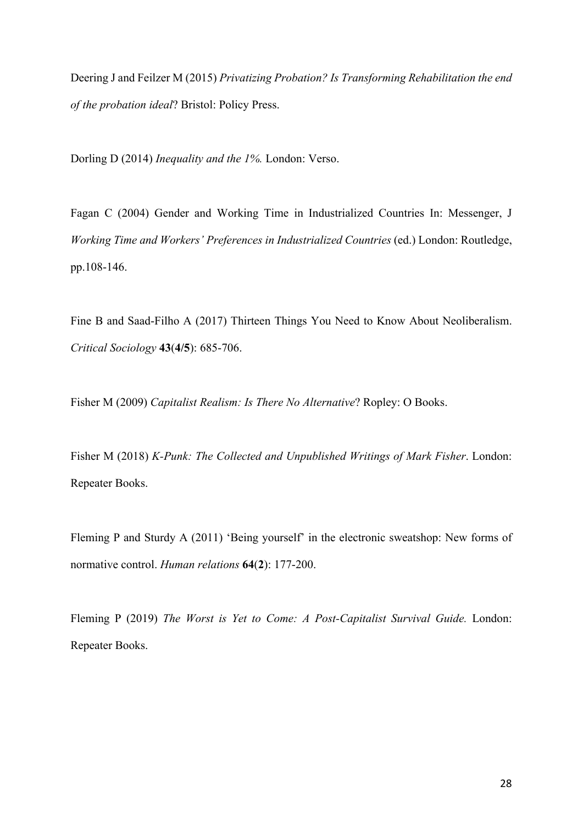Deering J and Feilzer M (2015) *Privatizing Probation? Is Transforming Rehabilitation the end of the probation ideal*? Bristol: Policy Press.

Dorling D (2014) *Inequality and the 1%.* London: Verso.

Fagan C (2004) Gender and Working Time in Industrialized Countries In: Messenger, J *Working Time and Workers' Preferences in Industrialized Countries* (ed.) London: Routledge, pp.108-146.

Fine B and Saad-Filho A (2017) Thirteen Things You Need to Know About Neoliberalism. *Critical Sociology* **43**(**4/5**): 685-706.

Fisher M (2009) *Capitalist Realism: Is There No Alternative*? Ropley: O Books.

Fisher M (2018) *K-Punk: The Collected and Unpublished Writings of Mark Fisher*. London: Repeater Books.

Fleming P and Sturdy A (2011) 'Being yourself' in the electronic sweatshop: New forms of normative control. *Human relations* **64**(**2**): 177-200.

Fleming P (2019) *The Worst is Yet to Come: A Post-Capitalist Survival Guide.* London: Repeater Books.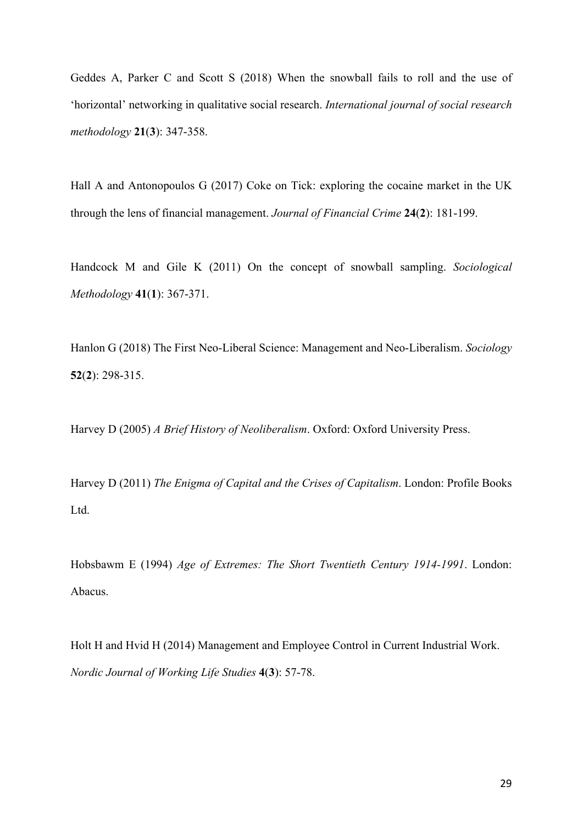Geddes A, Parker C and Scott S (2018) When the snowball fails to roll and the use of 'horizontal' networking in qualitative social research. *International journal of social research methodology* **21**(**3**): 347-358.

Hall A and Antonopoulos G (2017) Coke on Tick: exploring the cocaine market in the UK through the lens of financial management. *Journal of Financial Crime* **24**(**2**): 181-199.

Handcock M and Gile K (2011) On the concept of snowball sampling. *Sociological Methodology* **41**(**1**): 367-371.

Hanlon G (2018) The First Neo-Liberal Science: Management and Neo-Liberalism. *Sociology*  **52**(**2**): 298-315.

Harvey D (2005) *A Brief History of Neoliberalism*. Oxford: Oxford University Press.

Harvey D (2011) *The Enigma of Capital and the Crises of Capitalism*. London: Profile Books Ltd.

Hobsbawm E (1994) *Age of Extremes: The Short Twentieth Century 1914-1991*. London: Abacus.

Holt H and Hvid H (2014) Management and Employee Control in Current Industrial Work. *Nordic Journal of Working Life Studies* **4**(**3**): 57-78.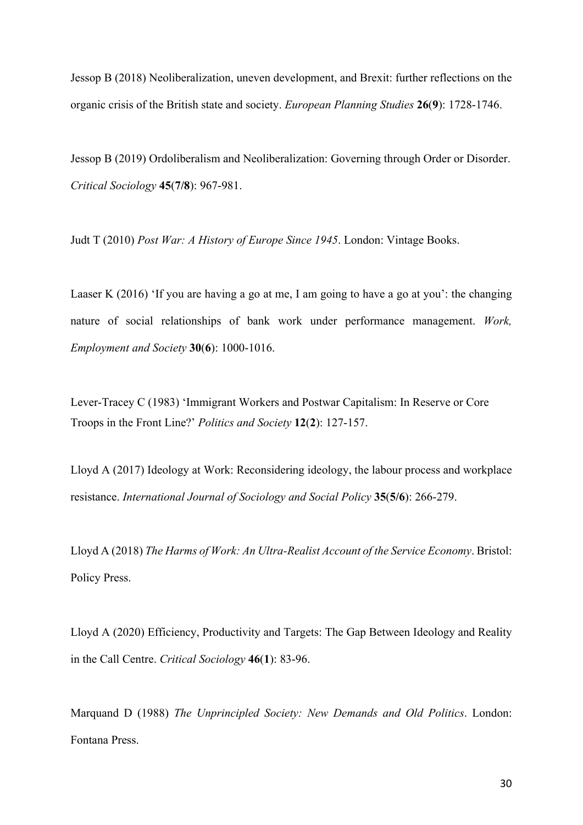Jessop B (2018) Neoliberalization, uneven development, and Brexit: further reflections on the organic crisis of the British state and society. *European Planning Studies* **26**(**9**): 1728-1746.

Jessop B (2019) Ordoliberalism and Neoliberalization: Governing through Order or Disorder. *Critical Sociology* **45**(**7/8**): 967-981.

Judt T (2010) *Post War: A History of Europe Since 1945*. London: Vintage Books.

Laaser K (2016) 'If you are having a go at me, I am going to have a go at you': the changing nature of social relationships of bank work under performance management. *Work, Employment and Society* **30**(**6**): 1000-1016.

Lever-Tracey C (1983) 'Immigrant Workers and Postwar Capitalism: In Reserve or Core Troops in the Front Line?' *Politics and Society* **12**(**2**): 127-157.

Lloyd A (2017) Ideology at Work: Reconsidering ideology, the labour process and workplace resistance. *International Journal of Sociology and Social Policy* **35**(**5/6**): 266-279.

Lloyd A (2018) *The Harms of Work: An Ultra-Realist Account of the Service Economy*. Bristol: Policy Press.

Lloyd A (2020) Efficiency, Productivity and Targets: The Gap Between Ideology and Reality in the Call Centre. *Critical Sociology* **46**(**1**): 83-96.

Marquand D (1988) *The Unprincipled Society: New Demands and Old Politics*. London: Fontana Press.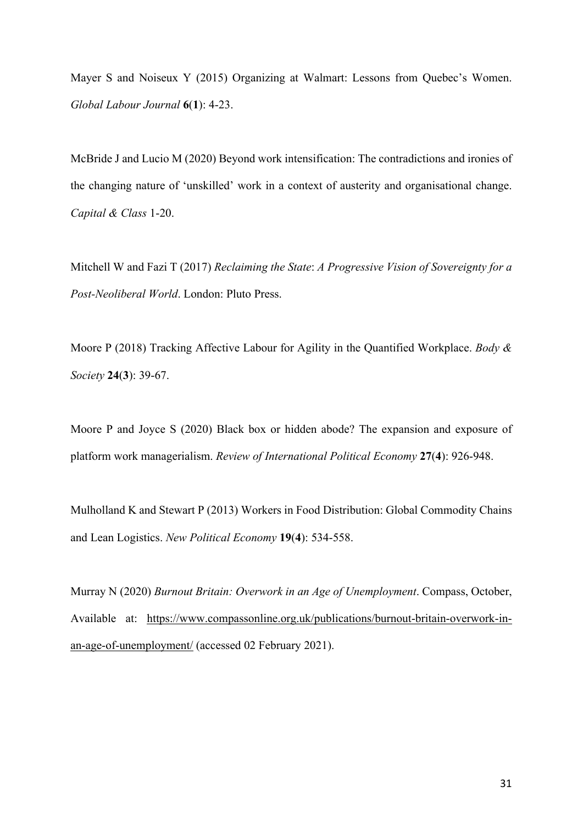Mayer S and Noiseux Y (2015) Organizing at Walmart: Lessons from Quebec's Women. *Global Labour Journal* **6**(**1**): 4-23.

McBride J and Lucio M (2020) Beyond work intensification: The contradictions and ironies of the changing nature of 'unskilled' work in a context of austerity and organisational change. *Capital & Class* 1-20.

Mitchell W and Fazi T (2017) *Reclaiming the State*: *A Progressive Vision of Sovereignty for a Post-Neoliberal World*. London: Pluto Press.

Moore P (2018) Tracking Affective Labour for Agility in the Quantified Workplace. *Body & Society* **24**(**3**): 39-67.

Moore P and Joyce S (2020) Black box or hidden abode? The expansion and exposure of platform work managerialism. *Review of International Political Economy* **27**(**4**): 926-948.

Mulholland K and Stewart P (2013) Workers in Food Distribution: Global Commodity Chains and Lean Logistics. *New Political Economy* **19**(**4**): 534-558.

Murray N (2020) *Burnout Britain: Overwork in an Age of Unemployment*. Compass, October, Available at: [https://www.compassonline.org.uk/publications/burnout-britain-overwork-in](https://www.compassonline.org.uk/publications/burnout-britain-overwork-in-an-age-of-unemployment/)[an-age-of-unemployment/](https://www.compassonline.org.uk/publications/burnout-britain-overwork-in-an-age-of-unemployment/) (accessed 02 February 2021).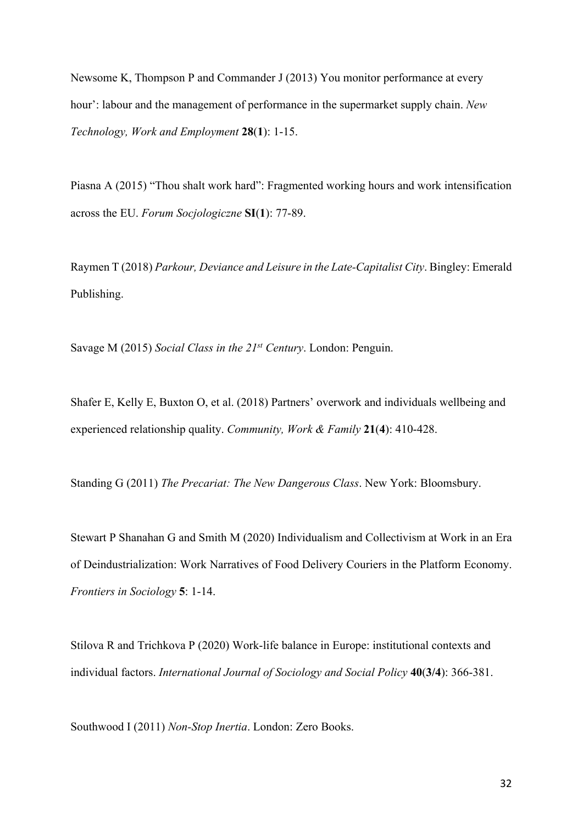Newsome K, Thompson P and Commander J (2013) You monitor performance at every hour': labour and the management of performance in the supermarket supply chain. *New Technology, Work and Employment* **28**(**1**): 1-15.

Piasna A (2015) "Thou shalt work hard": Fragmented working hours and work intensification across the EU. *Forum Socjologiczne* **SI**(**1**): 77-89.

Raymen T (2018) *Parkour, Deviance and Leisure in the Late-Capitalist City*. Bingley: Emerald Publishing.

Savage M (2015) *Social Class in the 21st Century*. London: Penguin.

Shafer E, Kelly E, Buxton O, et al. (2018) Partners' overwork and individuals wellbeing and experienced relationship quality. *Community, Work & Family* **21**(**4**): 410-428.

Standing G (2011) *The Precariat: The New Dangerous Class*. New York: Bloomsbury.

Stewart P Shanahan G and Smith M (2020) Individualism and Collectivism at Work in an Era of Deindustrialization: Work Narratives of Food Delivery Couriers in the Platform Economy. *Frontiers in Sociology* **5**: 1-14.

Stilova R and Trichkova P (2020) Work-life balance in Europe: institutional contexts and individual factors. *International Journal of Sociology and Social Policy* **40**(**3/4**): 366-381.

Southwood I (2011) *Non-Stop Inertia*. London: Zero Books.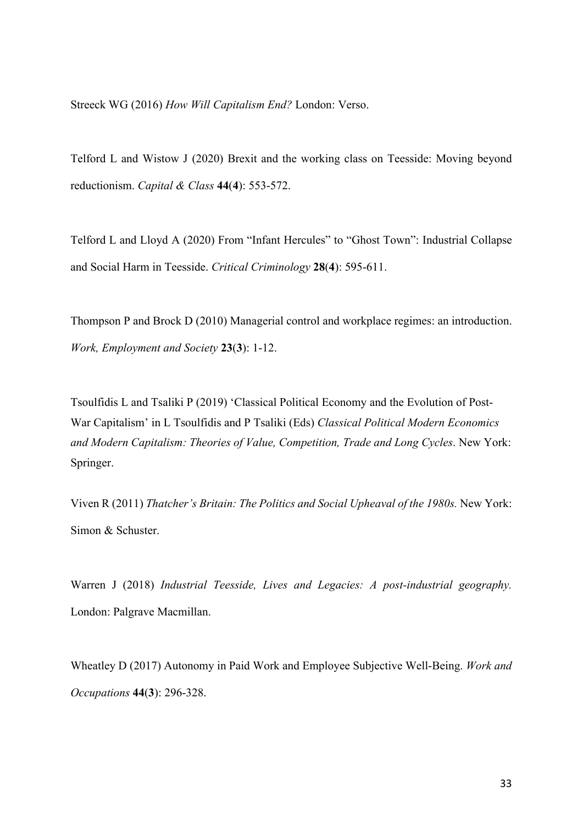Streeck WG (2016) *How Will Capitalism End?* London: Verso.

Telford L and Wistow J (2020) Brexit and the working class on Teesside: Moving beyond reductionism. *Capital & Class* **44**(**4**): 553-572.

Telford L and Lloyd A (2020) From "Infant Hercules" to "Ghost Town": Industrial Collapse and Social Harm in Teesside. *Critical Criminology* **28**(**4**): 595-611.

Thompson P and Brock D (2010) Managerial control and workplace regimes: an introduction. *Work, Employment and Society* **23**(**3**): 1-12.

Tsoulfidis L and Tsaliki P (2019) 'Classical Political Economy and the Evolution of Post-War Capitalism' in L Tsoulfidis and P Tsaliki (Eds) *Classical Political Modern Economics and Modern Capitalism: Theories of Value, Competition, Trade and Long Cycles*. New York: Springer.

Viven R (2011) *Thatcher's Britain: The Politics and Social Upheaval of the 1980s.* New York: Simon & Schuster.

Warren J (2018) *Industrial Teesside, Lives and Legacies: A post-industrial geography.*  London: Palgrave Macmillan.

Wheatley D (2017) Autonomy in Paid Work and Employee Subjective Well-Being. *Work and Occupations* **44**(**3**): 296-328.